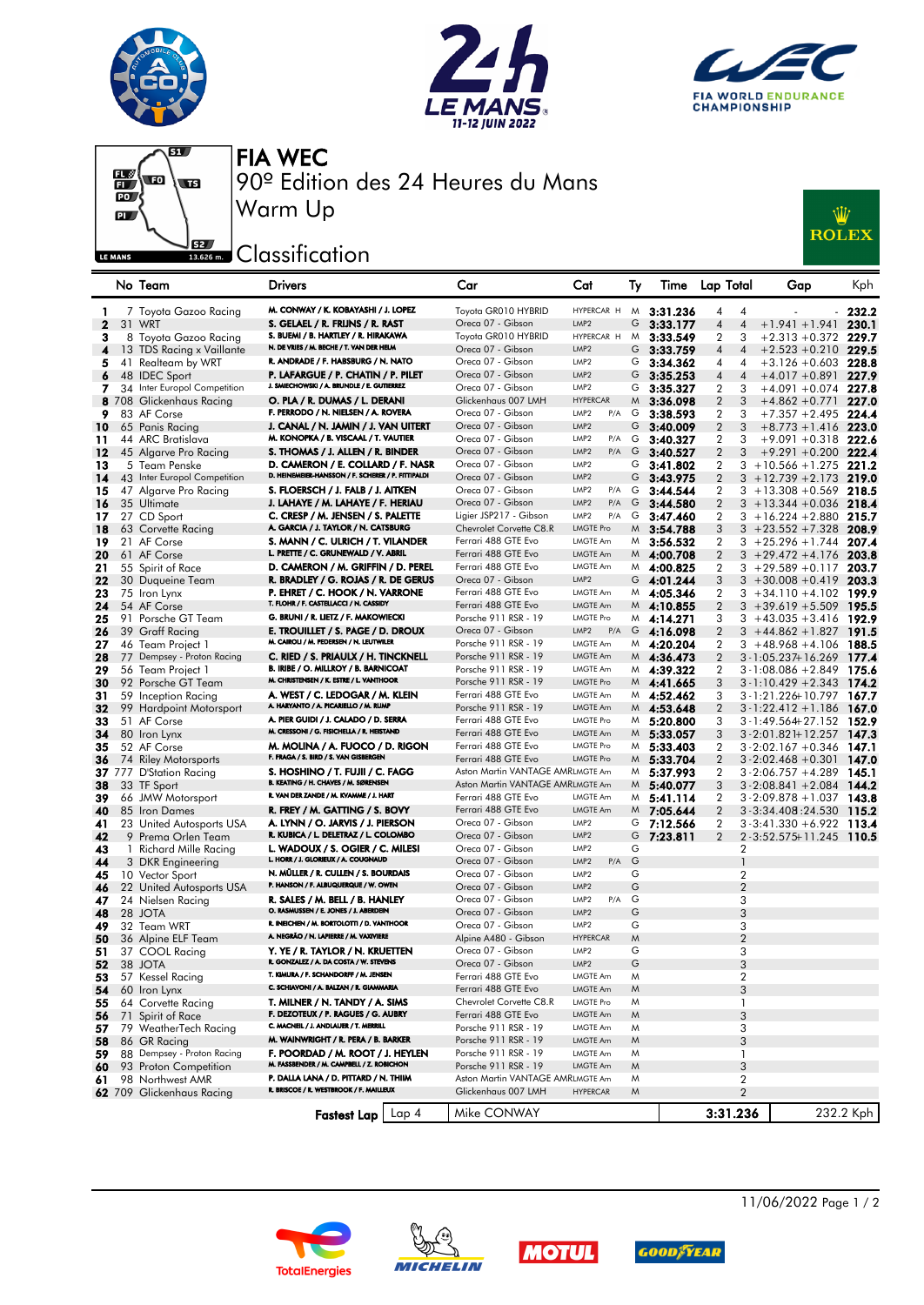







FIA WEC 90º Edition des 24 Heures du Mans Warm Up

## **J**B2 Classification



|              |    | No Team                      | Drivers                                                                           | Car                              | Cat                                  | lγ | lime         | Lap Total           | Gap                           | <b>Kph</b> |
|--------------|----|------------------------------|-----------------------------------------------------------------------------------|----------------------------------|--------------------------------------|----|--------------|---------------------|-------------------------------|------------|
| ı            |    | 7 Toyota Gazoo Racing        | M. CONWAY / K. KOBAYASHI / J. LOPEZ                                               | Toyota GR010 HYBRID              | HYPERCAR H M                         |    | 3:31.236     | 4<br>4              |                               | 232.2      |
| $\mathbf{2}$ |    | 31 WRT                       | S. GELAEL / R. FRIJNS / R. RAST                                                   | Oreca 07 - Gibson                | LMP <sub>2</sub>                     | G  | 3:33.177     | 4<br>$\overline{4}$ | $+1.941 + 1.941$              | 230.1      |
| 3            |    | 8 Toyota Gazoo Racing        | S. BUEMI / B. HARTLEY / R. HIRAKAWA                                               | Toyota GR010 HYBRID              | HYPERCAR H                           | M  |              | 2<br>3              | $+2.313 + 0.372$              | 229.7      |
|              |    |                              | N. DE VRIES / M. BECHE / T. VAN DER HELM                                          | Oreca 07 - Gibson                | LMP <sub>2</sub>                     | G  | 3:33.549     | $\overline{4}$      |                               |            |
| 4            |    | 13 TDS Racing x Vaillante    | R. ANDRADE / F. HABSBURG / N. NATO                                                | Oreca 07 - Gibson                |                                      |    | 3:33.759     | 4                   | $+2.523 + 0.210$ 229.5        |            |
| 5            | 41 | Realteam by WRT              |                                                                                   |                                  | LMP <sub>2</sub><br>LMP <sub>2</sub> | G  | 3:34.362     | 4<br>4              | $+3.126 + 0.603$              | 228.8      |
| 6            |    | 48 IDEC Sport                | P. LAFARGUE / P. CHATIN / P. PILET<br>J. SMIECHOWSKI / A. BRUNDLE / E. GUTIERREZ  | Oreca 07 - Gibson                |                                      | G  | 3:35.253     | 4<br>$\overline{4}$ | $+4.017 + 0.891$ 227.9        |            |
| 7            |    | 34 Inter Europol Competition |                                                                                   | Oreca 07 - Gibson                | LMP <sub>2</sub>                     | G  | 3:35.327     | 2<br>3              | $+4.091 + 0.074$ 227.8        |            |
|              |    | 8 708 Glickenhaus Racing     | O. PLA / R. DUMAS / L. DERANI                                                     | Glickenhaus 007 LMH              | <b>HYPERCAR</b>                      | M  | 3:36.098     | 2<br>3              | $+4.862 +0.771$               | 227.0      |
| 9            |    | 83 AF Corse                  | F. PERRODO / N. NIELSEN / A. ROVERA                                               | Oreca 07 - Gibson                | LMP <sub>2</sub><br>P/A              | G  | 3:38.593     | 2<br>3              | $+7.357 + 2.495$ 224.4        |            |
| 10           |    | 65 Panis Racing              | J. CANAL / N. JAMIN / J. VAN UITERT                                               | Oreca 07 - Gibson                | LMP <sub>2</sub>                     | G  | 3:40.009     | 2<br>3              | $+8.773 + 1.416$ 223.0        |            |
| 11           |    | 44 ARC Bratislava            | M. KONOPKA / B. VISCAAL / T. VAUTIER                                              | Oreca 07 - Gibson                | LMP <sub>2</sub><br>P/A              | G  | 3:40.327     | 2<br>3              | $+9.091 + 0.318$ 222.6        |            |
| 12           |    | 45 Algarve Pro Racing        | S. THOMAS / J. ALLEN / R. BINDER                                                  | Oreca 07 - Gibson                | LMP <sub>2</sub><br>P/A              | G  | 3:40.527     | 2<br>3              | $+9.291 + 0.200$ 222.4        |            |
| 13           |    | 5 Team Penske                | D. CAMERON / E. COLLARD / F. NASR                                                 | Oreca 07 - Gibson                | LMP <sub>2</sub>                     | G  | 3:41.802     | 2                   | $3 + 10.566 + 1.275$ 221.2    |            |
| 14           |    | 43 Inter Europol Competition | D. HEINEMEIER-HANSSON / F. SCHERER / P. FITTIPALDI                                | Oreca 07 - Gibson                | LMP <sub>2</sub>                     | G  | 3:43.975     | 2                   | $3 + 12.739 + 2.173$ 219.0    |            |
| 15           |    | 47 Algarve Pro Racing        | S. FLOERSCH / J. FALB / J. AITKEN                                                 | Oreca 07 - Gibson                | LMP <sub>2</sub><br>P/A              | G  | 3:44.544     | 2<br>3              | $+13.308 + 0.569$             | 218.5      |
| 16           |    | 35 Ultimate                  | J. LAHAYE / M. LAHAYE / F. HERIAU                                                 | Oreca 07 - Gibson                | LMP <sub>2</sub><br>P/A              | G  | 3:44.580     | $\overline{2}$      | $3 + 13.344 + 0.036$          | 218.4      |
| 17           |    | 27 CD Sport                  | C. CRESP / M. JENSEN / S. PALETTE                                                 | Ligier JSP217 - Gibson           | LMP <sub>2</sub><br>P/A              | G  | 3:47.460     | 2                   | $3 + 16.224 + 2.880$ 215.7    |            |
| 18           |    | 63 Corvette Racing           | A. GARCIA / J. TAYLOR / N. CATSBURG                                               | Chevrolet Corvette C8.R          | <b>LMGTE Pro</b>                     | M  | 3:54.788     | 3                   | $3 + 23.552 + 7.328$          | 208.9      |
| 19           |    | 21 AF Corse                  | S. MANN / C. ULRICH / T. VILANDER                                                 | Ferrari 488 GTE Evo              | LMGTE Am                             | M  | 3:56.532     | $\overline{2}$      | $3 + 25.296 + 1.744$          | 207.4      |
| 20           |    | 61 AF Corse                  | L. PRETTE / C. GRUNEWALD / V. ABRIL                                               | Ferrari 488 GTE Evo              | <b>LMGTE Am</b>                      |    | $M$ 4:00.708 | $\overline{2}$      | $3 + 29.472 + 4.176$          | 203.8      |
| 21           |    | 55 Spirit of Race            | D. CAMERON / M. GRIFFIN / D. PEREL                                                | Ferrari 488 GTE Evo              | LMGTE Am                             | M  | 4:00.825     | 2                   | $3 + 29.589 + 0.117$          | 203.7      |
| 22           |    | 30 Duqueine Team             | R. BRADLEY / G. ROJAS / R. DE GERUS                                               | Oreca 07 - Gibson                | LMP <sub>2</sub>                     | G  | 4:01.244     | 3                   | $3 + 30.008 + 0.419$ 203.3    |            |
| 23           |    | 75 Iron Lynx                 | P. EHRET / C. HOOK / N. VARRONE                                                   | Ferrari 488 GTE Evo              | LMGTE Am                             | M  | 4:05.346     | 2                   | $3 + 34.110 + 4.102$          | - 199.9    |
| 24           |    | 54 AF Corse                  | T. FLOHR / F. CASTELLACCI / N. CASSIDY                                            | Ferrari 488 GTE Evo              | <b>LMGTE Am</b>                      |    | $M$ 4:10.855 | $\overline{2}$      | $3 + 39.619 + 5.509$          | 195.5      |
| 25           |    | 91 Porsche GT Team           | G. BRUNI / R. LIETZ / F. MAKOWIECKI                                               | Porsche 911 RSR - 19             | LMGTE Pro                            |    | $M$ 4:14.271 |                     | $3 + 43.035 + 3.416$ 192.9    |            |
|              |    |                              | E. TROUILLET / S. PAGE / D. DROUX                                                 | Oreca 07 - Gibson                | LMP <sub>2</sub><br>P/A              |    |              | 3                   |                               |            |
| 26           |    | 39 Graff Racing              | M. CAIROLI / M. PEDERSEN / N. LEUTWILER                                           | Porsche 911 RSR - 19             |                                      | G  | 4:16.098     | 2                   | $3 + 44.862 + 1.827$          | 191.5      |
| 27           |    | 46 Team Project 1            |                                                                                   | Porsche 911 RSR - 19             | LMGTE Am<br><b>LMGTE Am</b>          | M  | 4:20.204     | 2                   | $3 + 48.968 + 4.106$          | 188.5      |
| 28           |    | 77 Dempsey - Proton Racing   | C. RIED / S. PRIAULX / H. TINCKNELL<br>B. IRIBE / O. MILLROY / B. BARNICOAT       | Porsche 911 RSR - 19             |                                      |    | $M$ 4:36.473 | 2                   | $3 - 1:05.237 + 16.269$       | 177.4      |
| 29           |    | 56 Team Project 1            | M. CHRISTENSEN / K. ESTRE / L. VANTHOOR                                           |                                  | LMGTE Am                             | M  | 4:39.322     | 2                   | $3 - 1:08.086 + 2.849$        | -175.6     |
| 30           |    | 92 Porsche GT Team           |                                                                                   | Porsche 911 RSR - 19             | <b>LMGTE Pro</b><br><b>LMGTE Am</b>  |    | $M$ 4:41.665 | 3                   | $3 - 1:10.429 + 2.343$ 174.2  |            |
| 31           |    | 59 Inception Racing          | A. WEST / C. LEDOGAR / M. KLEIN<br>A. HARYANTO / A. PICARIELLO / M. RUMP          | Ferrari 488 GTE Evo              |                                      | M  | 4:52.462     | 3                   | 3 - 1:21.226+10.797           | 167.7      |
| 32           |    | 99 Hardpoint Motorsport      |                                                                                   | Porsche 911 RSR - 19             | <b>LMGTE Am</b>                      | M  | 4:53.648     | $\overline{2}$      | $3 - 1:22.412 + 1.186$        | 167.0      |
| 33           |    | 51 AF Corse                  | A. PIER GUIDI / J. CALADO / D. SERRA<br>M. CRESSONI / G. FISICHELLA / R. HEISTAND | Ferrari 488 GTE Evo              | LMGTE Pro                            | M  | 5:20.800     | 3                   | 3-1:49.564+27.152 152.9       |            |
| 34           |    | 80 Iron Lynx                 |                                                                                   | Ferrari 488 GTE Evo              | LMGTE Am                             | M  | 5:33.057     | 3                   | $3 - 2:01.821 + 12.257$       | 147.3      |
| 35           |    | 52 AF Corse                  | M. MOLINA / A. FUOCO / D. RIGON<br>F. FRAGA / S. BIRD / S. VAN GISBERGEN          | Ferrari 488 GTE Evo              | LMGTE Pro                            | M  | 5:33.403     | 2                   | $3 - 2:02.167 + 0.346$        | 147.1      |
| 36           |    | 74 Riley Motorsports         |                                                                                   | Ferrari 488 GTE Evo              | <b>LMGTE Pro</b>                     | M  | 5:33.704     | $\overline{2}$      | $3 - 2:02.468 + 0.301$        | 147.0      |
|              |    | 37 777 D'Station Racing      | S. HOSHINO / T. FUJII / C. FAGG<br>B. KEATING / H. CHAVES / M. SØRENSEN           | Aston Martin VANTAGE AMRLMGTE Am |                                      | M  | 5:37.993     | 2                   | $3 - 2:06.757 + 4.289$        | 145.1      |
| 38           |    | 33 TF Sport                  | R. VAN DER ZANDE / M. KVAMME / J. HART                                            | Aston Martin VANTAGE AMRLMGTE Am |                                      | M  | 5:40.077     | 3                   | $3 - 2:08.841 + 2.084$ 144.2  |            |
| 39           |    | 66 JMW Motorsport            |                                                                                   | Ferrari 488 GTE Evo              | <b>LMGTE Am</b>                      | M  | 5:41.114     | 2                   | $3 - 2:09.878 + 1.037$        | 143.8      |
| 40           |    | 85 Iron Dames                | R. FREY / M. GATTING / S. BOVY                                                    | Ferrari 488 GTE Evo              | <b>LMGTE Am</b>                      | M  | 7:05.644     | $\overline{2}$      | 3 - 3:34.408 : 24.530         | 115.2      |
| 41           |    | 23 United Autosports USA     | A. LYNN / O. JARVIS / J. PIERSON                                                  | Oreca 07 - Gibson                | LMP <sub>2</sub>                     | G  | 7:12.566     | 2                   | $3 - 3:41.330 + 6.922$ 113.4  |            |
| 42           |    | 9 Prema Orlen Team           | R. KUBICA / L. DELETRAZ / L. COLOMBO                                              | Oreca 07 - Gibson                | LMP <sub>2</sub>                     | G  | 7:23.811     | $\overline{2}$      | $2 - 3:52.575 + 11.245$ 110.5 |            |
| 43           | -1 | Richard Mille Racing         | L. WADOUX / S. OGIER / C. MILESI<br>L. HORR / J. GLORIEUX / A. COUGNAUD           | Oreca 07 - Gibson                | LMP <sub>2</sub>                     | G  |              | 2                   |                               |            |
| 44           |    | 3 DKR Engineering            |                                                                                   | Oreca 07 - Gibson                | LMP <sub>2</sub><br>P/A              | G  |              | $\mathbf{1}$        |                               |            |
| 45           |    | 10 Vector Sport              | N. MÜLLER / R. CULLEN / S. BOURDAIS<br>P. HANSON / F. ALBUQUERQUE / W. OWEN       | Oreca 07 - Gibson                | LMP <sub>2</sub>                     | G  |              | $\overline{2}$      |                               |            |
| 46           |    | 22 United Autosports USA     |                                                                                   | Oreca 07 - Gibson                | LMP <sub>2</sub>                     | G  |              | $\overline{2}$      |                               |            |
| 47           |    | 24 Nielsen Racing            | R. SALES / M. BELL / B. HANLEY<br>O. RASMUSSEN / E. JONES / J. ABERDEIN           | Oreca 07 - Gibson                | LMP <sub>2</sub><br>P/A              | G  |              | 3                   |                               |            |
| 48           |    | 28 JOTA                      | R. INEICHEN / M. BORTOLOTTI / D. VANTHOOR                                         | Oreca 07 - Gibson                | LMP <sub>2</sub>                     | G  |              | 3                   |                               |            |
| 49           |    | 32 Team WRT                  | A. NEGRÃO / N. LAPIERRE / M. VAXIVIERE                                            | Oreca 07 - Gibson                | LMP <sub>2</sub>                     | G  |              | 3                   |                               |            |
| 50           |    | 36 Alpine ELF Team           |                                                                                   | Alpine A480 - Gibson             | <b>HYPERCAR</b>                      | M  |              | $\overline{2}$      |                               |            |
| 51           |    | 37 COOL Racing               | Y. YE / R. TAYLOR / N. KRUETTEN<br>R. GONZALEZ / A. DA COSTA / W. STEVENS         | Oreca 07 - Gibson                | LMP <sub>2</sub>                     | G  |              | 3                   |                               |            |
| 52           |    | 38 JOTA                      |                                                                                   | Oreca 07 - Gibson                | LMP <sub>2</sub>                     | G  |              | 3                   |                               |            |
| 53           |    | 57 Kessel Racing             | T. KIMURA / F. SCHANDORFF / M. JENSEN<br>C. SCHIAVONI / A. BALZAN / R. GIAMMARIA  | Ferrari 488 GTE Evo              | LMGTE Am                             | M  |              | $\boldsymbol{2}$    |                               |            |
| 54           |    | 60 Iron Lynx                 |                                                                                   | Ferrari 488 GTE Evo              | LMGTE Am                             | M  |              | 3                   |                               |            |
| 55           |    | 64 Corvette Racing           | T. MILNER / N. TANDY / A. SIMS                                                    | Chevrolet Corvette C8.R          | <b>LMGTE Pro</b>                     | M  |              | 1                   |                               |            |
| 56           |    | 71 Spirit of Race            | F. DEZOTEUX / P. RAGUES / G. AUBRY                                                | Ferrari 488 GTE Evo              | LMGTE Am                             | M  |              | 3                   |                               |            |
| 57           |    | 79 WeatherTech Racing        | C. MACNEIL / J. ANDLAUER / T. MERRILL                                             | Porsche 911 RSR - 19             | LMGTE Am                             | M  |              | 3                   |                               |            |
| 58           |    | 86 GR Racing                 | M. WAINWRIGHT / R. PERA / B. BARKER                                               | Porsche 911 RSR - 19             | LMGTE Am                             | M  |              | 3                   |                               |            |
| 59           |    | 88 Dempsey - Proton Racing   | F. POORDAD / M. ROOT / J. HEYLEN                                                  | Porsche 911 RSR - 19             | <b>LMGTE Am</b>                      | M  |              | 1                   |                               |            |
| 60           |    | 93 Proton Competition        | M. FASSBENDER / M. CAMPBELL / Z. ROBICHON                                         | Porsche 911 RSR - 19             | LMGTE Am                             | M  |              | 3                   |                               |            |
| 61           |    | 98 Northwest AMR             | P. DALLA LANA / D. PITTARD / N. THIIM                                             | Aston Martin VANTAGE AMRLMGTE Am |                                      | M  |              | $\boldsymbol{2}$    |                               |            |
|              |    | 62 709 Glickenhaus Racing    | R. BRISCOE / R. WESTBROOK / F. MAILLEUX                                           | Glickenhaus 007 LMH              | <b>HYPERCAR</b>                      | M  |              | 2                   |                               |            |
|              |    |                              | Fastest Lap   Lap 4                                                               | Mike CONWAY                      |                                      |    |              | 3:31.236            |                               | 232.2 Kph  |
|              |    |                              |                                                                                   |                                  |                                      |    |              |                     |                               |            |